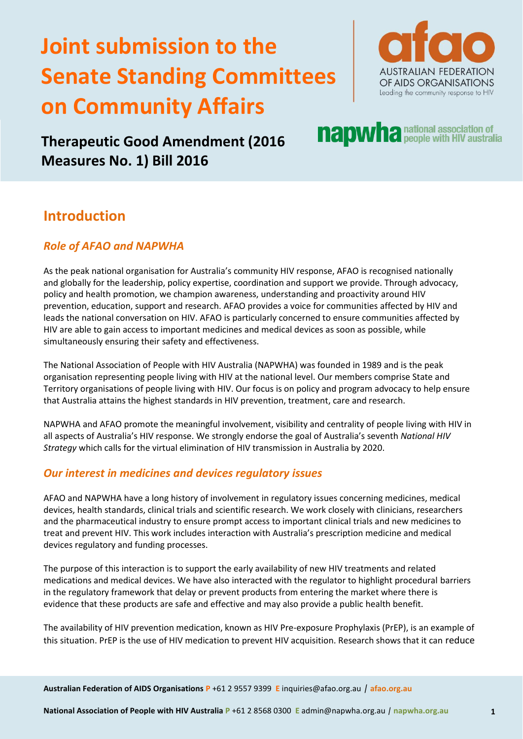# **Joint submission to the Senate Standing Committees on Community Affairs**



**napwha** national association of

# **Therapeutic Good Amendment (2016 Measures No. 1) Bill 2016**

## **Introduction**

## *Role of AFAO and NAPWHA*

As the peak national organisation for Australia's community HIV response, AFAO is recognised nationally and globally for the leadership, policy expertise, coordination and support we provide. Through advocacy, policy and health promotion, we champion awareness, understanding and proactivity around HIV prevention, education, support and research. AFAO provides a voice for communities affected by HIV and leads the national conversation on HIV. AFAO is particularly concerned to ensure communities affected by HIV are able to gain access to important medicines and medical devices as soon as possible, while simultaneously ensuring their safety and effectiveness.

The National Association of People with HIV Australia (NAPWHA) was founded in 1989 and is the peak organisation representing people living with HIV at the national level. Our members comprise State and Territory organisations of people living with HIV. Our focus is on policy and program advocacy to help ensure that Australia attains the highest standards in HIV prevention, treatment, care and research.

NAPWHA and AFAO promote the meaningful involvement, visibility and centrality of people living with HIV in all aspects of Australia's HIV response. We strongly endorse the goal of Australia's seventh *National HIV Strategy* which calls for the virtual elimination of HIV transmission in Australia by 2020.

## *Our interest in medicines and devices regulatory issues*

AFAO and NAPWHA have a long history of involvement in regulatory issues concerning medicines, medical devices, health standards, clinical trials and scientific research. We work closely with clinicians, researchers and the pharmaceutical industry to ensure prompt access to important clinical trials and new medicines to treat and prevent HIV. This work includes interaction with Australia's prescription medicine and medical devices regulatory and funding processes.

The purpose of this interaction is to support the early availability of new HIV treatments and related medications and medical devices. We have also interacted with the regulator to highlight procedural barriers in the regulatory framework that delay or prevent products from entering the market where there is evidence that these products are safe and effective and may also provide a public health benefit.

The availability of HIV prevention medication, known as HIV Pre-exposure Prophylaxis (PrEP), is an example of this situation. PrEP is the use of HIV medication to prevent HIV acquisition. Research shows that it can reduce

**Australian Federation of AIDS Organisations P** +61 2 9557 9399 **E** inquiries@afao.org.au *|* **afao.org.au**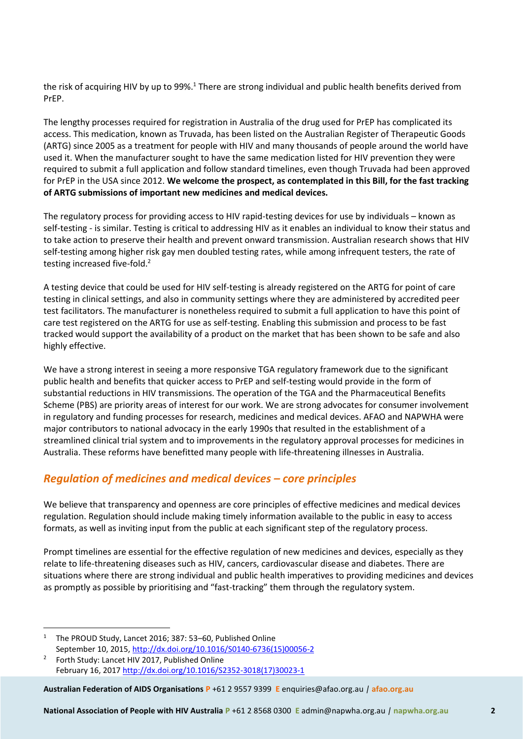the risk of acquiring HIV by up to 99%.<sup>1</sup> There are strong individual and public health benefits derived from PrEP.

The lengthy processes required for registration in Australia of the drug used for PrEP has complicated its access. This medication, known as Truvada, has been listed on the Australian Register of Therapeutic Goods (ARTG) since 2005 as a treatment for people with HIV and many thousands of people around the world have used it. When the manufacturer sought to have the same medication listed for HIV prevention they were required to submit a full application and follow standard timelines, even though Truvada had been approved for PrEP in the USA since 2012. **We welcome the prospect, as contemplated in this Bill, for the fast tracking of ARTG submissions of important new medicines and medical devices.** 

The regulatory process for providing access to HIV rapid-testing devices for use by individuals – known as self-testing - is similar. Testing is critical to addressing HIV as it enables an individual to know their status and to take action to preserve their health and prevent onward transmission. Australian research shows that HIV self-testing among higher risk gay men doubled testing rates, while among infrequent testers, the rate of testing increased five-fold.<sup>2</sup>

A testing device that could be used for HIV self-testing is already registered on the ARTG for point of care testing in clinical settings, and also in community settings where they are administered by accredited peer test facilitators. The manufacturer is nonetheless required to submit a full application to have this point of care test registered on the ARTG for use as self-testing. Enabling this submission and process to be fast tracked would support the availability of a product on the market that has been shown to be safe and also highly effective.

We have a strong interest in seeing a more responsive TGA regulatory framework due to the significant public health and benefits that quicker access to PrEP and self-testing would provide in the form of substantial reductions in HIV transmissions. The operation of the TGA and the Pharmaceutical Benefits Scheme (PBS) are priority areas of interest for our work. We are strong advocates for consumer involvement in regulatory and funding processes for research, medicines and medical devices. AFAO and NAPWHA were major contributors to national advocacy in the early 1990s that resulted in the establishment of a streamlined clinical trial system and to improvements in the regulatory approval processes for medicines in Australia. These reforms have benefitted many people with life-threatening illnesses in Australia.

#### *Regulation of medicines and medical devices – core principles*

We believe that transparency and openness are core principles of effective medicines and medical devices regulation. Regulation should include making timely information available to the public in easy to access formats, as well as inviting input from the public at each significant step of the regulatory process.

Prompt timelines are essential for the effective regulation of new medicines and devices, especially as they relate to life-threatening diseases such as HIV, cancers, cardiovascular disease and diabetes. There are situations where there are strong individual and public health imperatives to providing medicines and devices as promptly as possible by prioritising and "fast-tracking" them through the regulatory system.

<sup>1</sup> The PROUD Study, Lancet 2016; 387: 53-60, Published Online September 10, 2015, [http://dx.doi.org/10.1016/S0140-6736\(15\)00056-2](http://dx.doi.org/10.1016/S0140-6736(15)00056-2)

 $\overline{a}$ 

**Australian Federation of AIDS Organisations P** +61 2 9557 9399 **E** enquiries@afao.org.au *|* **afao.org.au**

**National Association of People with HIV Australia P** +61 2 8568 0300 **E** admin@napwha.org.au *|* **napwha.org.au 2**

<sup>2</sup> Forth Study: Lancet HIV 2017, Published Online February 16, 2017 [http://dx.doi.org/10.1016/S2352-3018\(17\)30023-1](http://dx.doi.org/10.1016/S2352-3018(17)30023-1)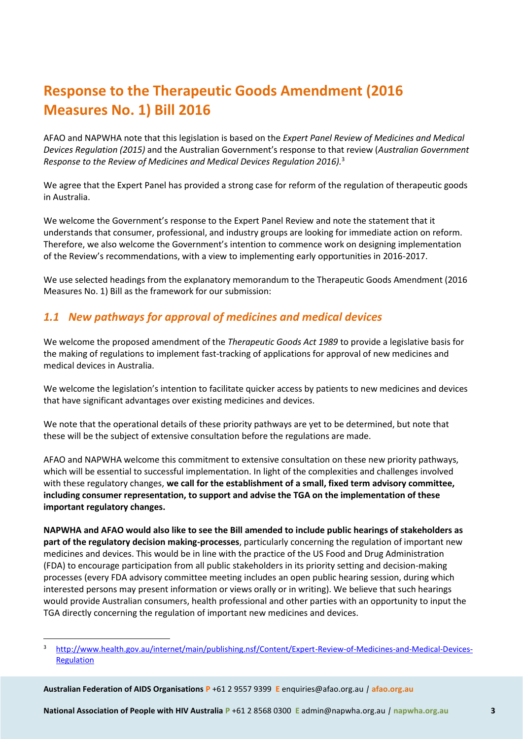# **Response to the Therapeutic Goods Amendment (2016 Measures No. 1) Bill 2016**

AFAO and NAPWHA note that this legislation is based on the *Expert Panel Review of Medicines and Medical Devices Regulation (2015)* and the Australian Government's response to that review (*Australian Government Response to the Review of Medicines and Medical Devices Regulation 2016).*<sup>3</sup>

We agree that the Expert Panel has provided a strong case for reform of the regulation of therapeutic goods in Australia.

We welcome the Government's response to the Expert Panel Review and note the statement that it understands that consumer, professional, and industry groups are looking for immediate action on reform. Therefore, we also welcome the Government's intention to commence work on designing implementation of the Review's recommendations, with a view to implementing early opportunities in 2016-2017.

We use selected headings from the explanatory memorandum to the Therapeutic Goods Amendment (2016 Measures No. 1) Bill as the framework for our submission:

## *1.1 New pathways for approval of medicines and medical devices*

We welcome the proposed amendment of the *Therapeutic Goods Act 1989* to provide a legislative basis for the making of regulations to implement fast-tracking of applications for approval of new medicines and medical devices in Australia.

We welcome the legislation's intention to facilitate quicker access by patients to new medicines and devices that have significant advantages over existing medicines and devices.

We note that the operational details of these priority pathways are yet to be determined, but note that these will be the subject of extensive consultation before the regulations are made.

AFAO and NAPWHA welcome this commitment to extensive consultation on these new priority pathways, which will be essential to successful implementation. In light of the complexities and challenges involved with these regulatory changes, **we call for the establishment of a small, fixed term advisory committee, including consumer representation, to support and advise the TGA on the implementation of these important regulatory changes.**

**NAPWHA and AFAO would also like to see the Bill amended to include public hearings of stakeholders as part of the regulatory decision making-processes**, particularly concerning the regulation of important new medicines and devices. This would be in line with the practice of the US Food and Drug Administration (FDA) to encourage participation from all public stakeholders in its priority setting and decision-making processes (every FDA advisory committee meeting includes an open public hearing session, during which interested persons may present information or views orally or in writing). We believe that such hearings would provide Australian consumers, health professional and other parties with an opportunity to input the TGA directly concerning the regulation of important new medicines and devices.

**Australian Federation of AIDS Organisations P** +61 2 9557 9399 **E** enquiries@afao.org.au *|* **afao.org.au**

 $\overline{a}$ 

**National Association of People with HIV Australia P** +61 2 8568 0300 **E** admin@napwha.org.au *|* **napwha.org.au 3**

<sup>3</sup> [http://www.health.gov.au/internet/main/publishing.nsf/Content/Expert-Review-of-Medicines-and-Medical-Devices-](http://www.health.gov.au/internet/main/publishing.nsf/Content/Expert-Review-of-Medicines-and-Medical-Devices-Regulation)**[Regulation](http://www.health.gov.au/internet/main/publishing.nsf/Content/Expert-Review-of-Medicines-and-Medical-Devices-Regulation)**